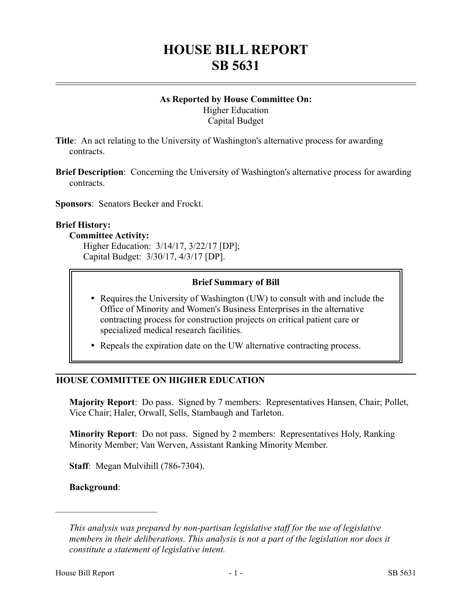# **HOUSE BILL REPORT SB 5631**

## **As Reported by House Committee On:** Higher Education Capital Budget

**Title**: An act relating to the University of Washington's alternative process for awarding contracts.

**Brief Description**: Concerning the University of Washington's alternative process for awarding contracts.

**Sponsors**: Senators Becker and Frockt.

#### **Brief History:**

#### **Committee Activity:**

Higher Education: 3/14/17, 3/22/17 [DP]; Capital Budget: 3/30/17, 4/3/17 [DP].

## **Brief Summary of Bill**

- Requires the University of Washington (UW) to consult with and include the Office of Minority and Women's Business Enterprises in the alternative contracting process for construction projects on critical patient care or specialized medical research facilities.
- Repeals the expiration date on the UW alternative contracting process.

# **HOUSE COMMITTEE ON HIGHER EDUCATION**

**Majority Report**: Do pass. Signed by 7 members: Representatives Hansen, Chair; Pollet, Vice Chair; Haler, Orwall, Sells, Stambaugh and Tarleton.

**Minority Report**: Do not pass. Signed by 2 members: Representatives Holy, Ranking Minority Member; Van Werven, Assistant Ranking Minority Member.

**Staff**: Megan Mulvihill (786-7304).

#### **Background**:

––––––––––––––––––––––

*This analysis was prepared by non-partisan legislative staff for the use of legislative members in their deliberations. This analysis is not a part of the legislation nor does it constitute a statement of legislative intent.*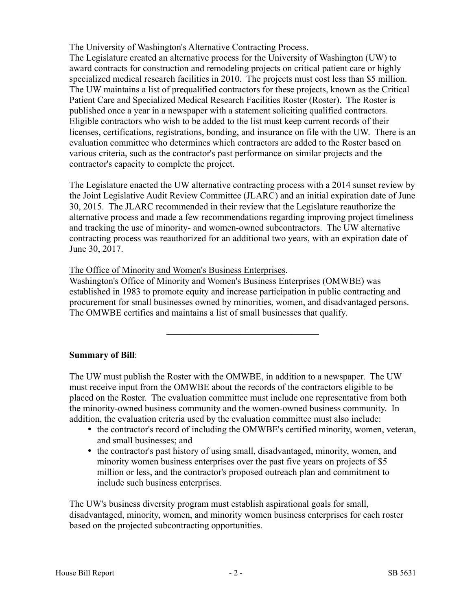The University of Washington's Alternative Contracting Process.

The Legislature created an alternative process for the University of Washington (UW) to award contracts for construction and remodeling projects on critical patient care or highly specialized medical research facilities in 2010. The projects must cost less than \$5 million. The UW maintains a list of prequalified contractors for these projects, known as the Critical Patient Care and Specialized Medical Research Facilities Roster (Roster). The Roster is published once a year in a newspaper with a statement soliciting qualified contractors. Eligible contractors who wish to be added to the list must keep current records of their licenses, certifications, registrations, bonding, and insurance on file with the UW. There is an evaluation committee who determines which contractors are added to the Roster based on various criteria, such as the contractor's past performance on similar projects and the contractor's capacity to complete the project.

The Legislature enacted the UW alternative contracting process with a 2014 sunset review by the Joint Legislative Audit Review Committee (JLARC) and an initial expiration date of June 30, 2015. The JLARC recommended in their review that the Legislature reauthorize the alternative process and made a few recommendations regarding improving project timeliness and tracking the use of minority- and women-owned subcontractors. The UW alternative contracting process was reauthorized for an additional two years, with an expiration date of June 30, 2017.

The Office of Minority and Women's Business Enterprises.

Washington's Office of Minority and Women's Business Enterprises (OMWBE) was established in 1983 to promote equity and increase participation in public contracting and procurement for small businesses owned by minorities, women, and disadvantaged persons. The OMWBE certifies and maintains a list of small businesses that qualify.

–––––––––––––––––––––––––––––––––

# **Summary of Bill**:

The UW must publish the Roster with the OMWBE, in addition to a newspaper. The UW must receive input from the OMWBE about the records of the contractors eligible to be placed on the Roster. The evaluation committee must include one representative from both the minority-owned business community and the women-owned business community. In addition, the evaluation criteria used by the evaluation committee must also include:

- the contractor's record of including the OMWBE's certified minority, women, veteran, and small businesses; and
- the contractor's past history of using small, disadvantaged, minority, women, and minority women business enterprises over the past five years on projects of \$5 million or less, and the contractor's proposed outreach plan and commitment to include such business enterprises.

The UW's business diversity program must establish aspirational goals for small, disadvantaged, minority, women, and minority women business enterprises for each roster based on the projected subcontracting opportunities.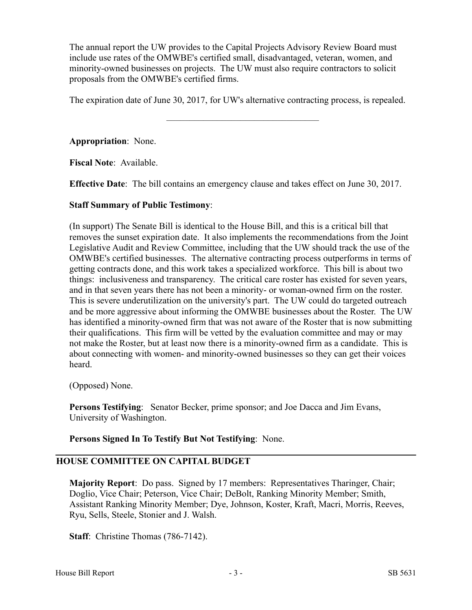The annual report the UW provides to the Capital Projects Advisory Review Board must include use rates of the OMWBE's certified small, disadvantaged, veteran, women, and minority-owned businesses on projects. The UW must also require contractors to solicit proposals from the OMWBE's certified firms.

The expiration date of June 30, 2017, for UW's alternative contracting process, is repealed.

–––––––––––––––––––––––––––––––––

**Appropriation**: None.

**Fiscal Note**: Available.

**Effective Date**: The bill contains an emergency clause and takes effect on June 30, 2017.

#### **Staff Summary of Public Testimony**:

(In support) The Senate Bill is identical to the House Bill, and this is a critical bill that removes the sunset expiration date. It also implements the recommendations from the Joint Legislative Audit and Review Committee, including that the UW should track the use of the OMWBE's certified businesses. The alternative contracting process outperforms in terms of getting contracts done, and this work takes a specialized workforce. This bill is about two things: inclusiveness and transparency. The critical care roster has existed for seven years, and in that seven years there has not been a minority- or woman-owned firm on the roster. This is severe underutilization on the university's part. The UW could do targeted outreach and be more aggressive about informing the OMWBE businesses about the Roster. The UW has identified a minority-owned firm that was not aware of the Roster that is now submitting their qualifications. This firm will be vetted by the evaluation committee and may or may not make the Roster, but at least now there is a minority-owned firm as a candidate. This is about connecting with women- and minority-owned businesses so they can get their voices heard.

(Opposed) None.

**Persons Testifying**: Senator Becker, prime sponsor; and Joe Dacca and Jim Evans, University of Washington.

**Persons Signed In To Testify But Not Testifying**: None.

# **HOUSE COMMITTEE ON CAPITAL BUDGET**

**Majority Report**: Do pass. Signed by 17 members: Representatives Tharinger, Chair; Doglio, Vice Chair; Peterson, Vice Chair; DeBolt, Ranking Minority Member; Smith, Assistant Ranking Minority Member; Dye, Johnson, Koster, Kraft, Macri, Morris, Reeves, Ryu, Sells, Steele, Stonier and J. Walsh.

**Staff:** Christine Thomas (786-7142).